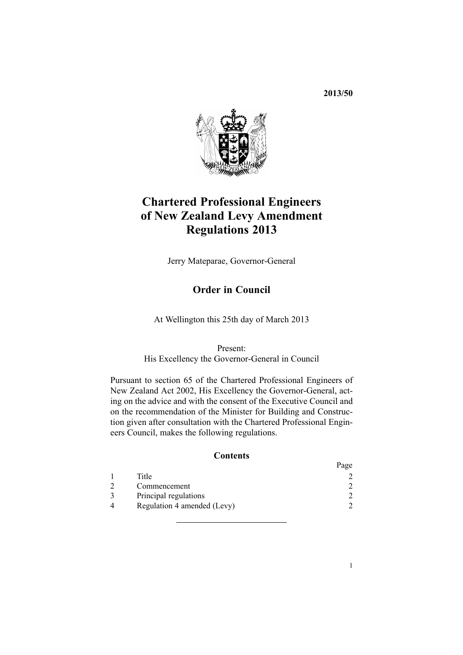**2013/50**



# **Chartered Professional Engineers of New Zealand Levy Amendment Regulations 2013**

Jerry Mateparae, Governor-General

# **Order in Council**

At Wellington this 25th day of March 2013

Present:

His Excellency the Governor-General in Council

Pursuant to [section](http://www.legislation.govt.nz/pdflink.aspx?id=DLM145107) 65 of the Chartered Professional Engineers of New Zealand Act 2002, His Excellency the Governor-General, acting on the advice and with the consent of the Executive Council and on the recommendation of the Minister for Building and Construction given after consultation with the Chartered Professional Engineers Council, makes the following regulations.

# **Contents**

|                             | 1 agu |
|-----------------------------|-------|
| Title                       |       |
| Commencement                |       |
| Principal regulations       |       |
| Regulation 4 amended (Levy) |       |
|                             |       |

 $D_{\alpha\alpha\alpha}$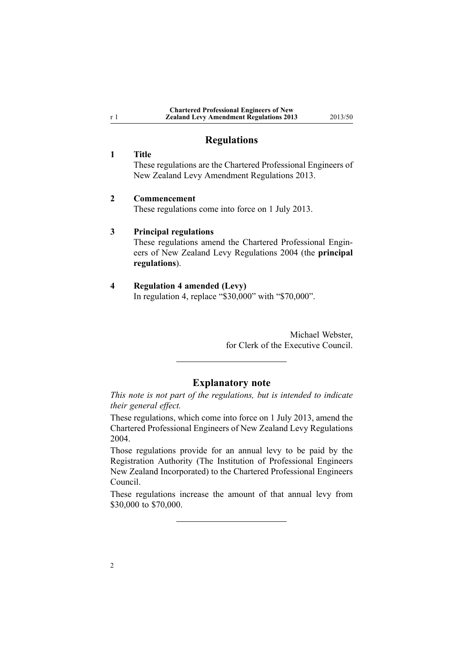| <b>Chartered Professional Engineers of New</b> |
|------------------------------------------------|
| <b>Zealand Levy Amendment Regulations 2013</b> |

**Zealand Levy Amendment Regulations 2013** 2013/50

# **Regulations**

### **1 Title**

<span id="page-1-0"></span><sup>r</sup> 1

These regulations are the Chartered Professional Engineers of New Zealand Levy Amendment Regulations 2013.

### **2 Commencement**

These regulations come into force on 1 July 2013.

#### **3 Principal regulations**

These regulations amend the Chartered [Professional](http://www.legislation.govt.nz/pdflink.aspx?id=DLM275862) Engineers of New Zealand Levy [Regulations](http://www.legislation.govt.nz/pdflink.aspx?id=DLM275862) 2004 (the **principal regulations**).

# **4 Regulation 4 amended (Levy)**

In regu[lation](http://www.legislation.govt.nz/pdflink.aspx?id=DLM275869) 4, replace "\$30,000" with "\$70,000".

Michael Webster, for Clerk of the Executive Council.

# **Explanatory note**

*This note is not par<sup>t</sup> of the regulations, but is intended to indicate their general effect.*

These regulations, which come into force on 1 July 2013, amend the Chartered Professional Engineers of New Zealand Levy [Regulations](http://www.legislation.govt.nz/pdflink.aspx?id=DLM275862) [2004](http://www.legislation.govt.nz/pdflink.aspx?id=DLM275862).

Those regulations provide for an annual levy to be paid by the Registration Authority (The Institution of Professional Engineers New Zealand Incorporated) to the Chartered Professional Engineers Council.

These regulations increase the amount of that annual levy from \$30,000 to \$70,000.